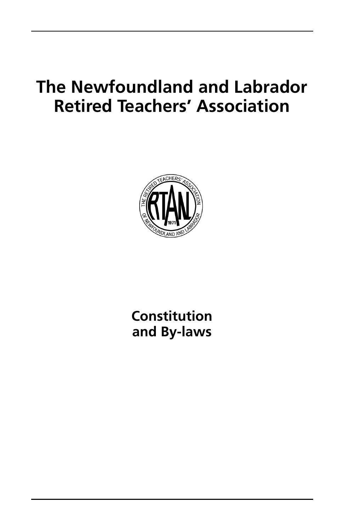# **The Newfoundland and Labrador Retired Teachers' Association**



**Constitution and By-laws**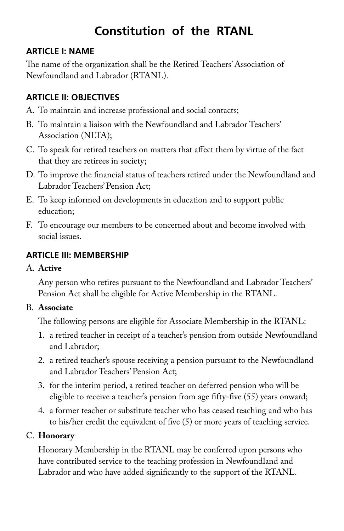# **Constitution of the RTANL**

#### **ARTICLE I: NAME**

The name of the organization shall be the Retired Teachers' Association of Newfoundland and Labrador (RTANL).

#### **ARTICLE II: OBJECTIVES**

- A. To maintain and increase professional and social contacts;
- B. To maintain a liaison with the Newfoundland and Labrador Teachers' Association (NLTA);
- C. To speak for retired teachers on matters that affect them by virtue of the fact that they are retirees in society;
- D. To improve the financial status of teachers retired under the Newfoundland and Labrador Teachers' Pension Act;
- E. To keep informed on developments in education and to support public education;
- F. To encourage our members to be concerned about and become involved with social issues.

#### **ARTICLE III: MEMBERSHIP**

#### A. **Active**

 Any person who retires pursuant to the Newfoundland and Labrador Teachers' Pension Act shall be eligible for Active Membership in the RTANL.

#### B. **Associate**

The following persons are eligible for Associate Membership in the RTANL:

- 1. a retired teacher in receipt of a teacher's pension from outside Newfoundland and Labrador;
- 2. a retired teacher's spouse receiving a pension pursuant to the Newfoundland and Labrador Teachers' Pension Act;
- 3. for the interim period, a retired teacher on deferred pension who will be eligible to receive a teacher's pension from age fifty-five (55) years onward;
- 4. a former teacher or substitute teacher who has ceased teaching and who has to his/her credit the equivalent of five (5) or more years of teaching service.

#### C. **Honorary**

 Honorary Membership in the RTANL may be conferred upon persons who have contributed service to the teaching profession in Newfoundland and Labrador and who have added significantly to the support of the RTANL.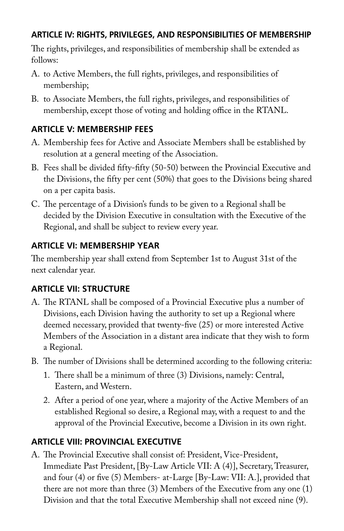#### **ARTICLE IV: RIGHTS, PRIVILEGES, AND RESPONSIBILITIES OF MEMBERSHIP**

The rights, privileges, and responsibilities of membership shall be extended as follows:

- A. to Active Members, the full rights, privileges, and responsibilities of membership;
- B. to Associate Members, the full rights, privileges, and responsibilities of membership, except those of voting and holding office in the RTANL.

# **ARTICLE V: MEMBERSHIP FEES**

- A. Membership fees for Active and Associate Members shall be established by resolution at a general meeting of the Association.
- B. Fees shall be divided fifty-fifty (50-50) between the Provincial Executive and the Divisions, the fifty per cent (50%) that goes to the Divisions being shared on a per capita basis.
- C. The percentage of a Division's funds to be given to a Regional shall be decided by the Division Executive in consultation with the Executive of the Regional, and shall be subject to review every year.

# **ARTICLE VI: MEMBERSHIP YEAR**

The membership year shall extend from September 1st to August 31st of the next calendar year.

# **ARTICLE VII: STRUCTURE**

- A. The RTANL shall be composed of a Provincial Executive plus a number of Divisions, each Division having the authority to set up a Regional where deemed necessary, provided that twenty-five (25) or more interested Active Members of the Association in a distant area indicate that they wish to form a Regional.
- B. The number of Divisions shall be determined according to the following criteria:
	- 1. There shall be a minimum of three (3) Divisions, namely: Central, Eastern, and Western.
	- 2. After a period of one year, where a majority of the Active Members of an established Regional so desire, a Regional may, with a request to and the approval of the Provincial Executive, become a Division in its own right.

# **ARTICLE VIII: PROVINCIAL EXECUTIVE**

A. The Provincial Executive shall consist of: President, Vice-President, Immediate Past President, [By-Law Article VII: A (4)], Secretary, Treasurer, and four (4) or five (5) Members- at-Large [By-Law: VII: A.], provided that there are not more than three (3) Members of the Executive from any one (1) Division and that the total Executive Membership shall not exceed nine (9).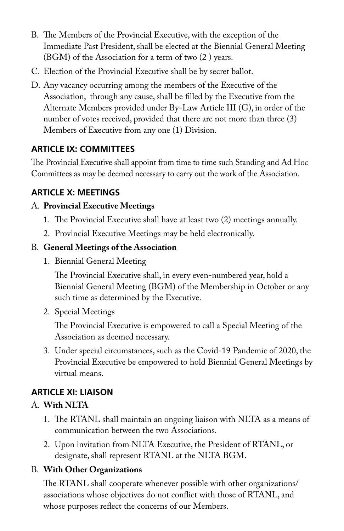- B. The Members of the Provincial Executive, with the exception of the Immediate Past President, shall be elected at the Biennial General Meeting (BGM) of the Association for a term of two (2 ) years.
- C. Election of the Provincial Executive shall be by secret ballot.
- D. Any vacancy occurring among the members of the Executive of the Association, through any cause, shall be filled by the Executive from the Alternate Members provided under By-Law Article III (G), in order of the number of votes received, provided that there are not more than three (3) Members of Executive from any one (1) Division.

# **ARTICLE IX: COMMITTEES**

The Provincial Executive shall appoint from time to time such Standing and Ad Hoc Committees as may be deemed necessary to carry out the work of the Association.

# **ARTICLE X: MEETINGS**

#### A. **Provincial Executive Meetings**

- 1. The Provincial Executive shall have at least two (2) meetings annually.
- 2. Provincial Executive Meetings may be held electronically.

#### B. **General Meetings of the Association**

1. Biennial General Meeting

 The Provincial Executive shall, in every even-numbered year, hold a Biennial General Meeting (BGM) of the Membership in October or any such time as determined by the Executive.

2. Special Meetings

 The Provincial Executive is empowered to call a Special Meeting of the Association as deemed necessary.

3. Under special circumstances, such as the Covid-19 Pandemic of 2020, the Provincial Executive be empowered to hold Biennial General Meetings by virtual means.

# **ARTICLE XI: LIAISON**

# A. **With NLTA**

- 1. The RTANL shall maintain an ongoing liaison with NLTA as a means of communication between the two Associations.
- 2. Upon invitation from NLTA Executive, the President of RTANL, or designate, shall represent RTANL at the NLTA BGM.

# B. **With Other Organizations**

 The RTANL shall cooperate whenever possible with other organizations/ associations whose objectives do not conflict with those of RTANL, and whose purposes reflect the concerns of our Members.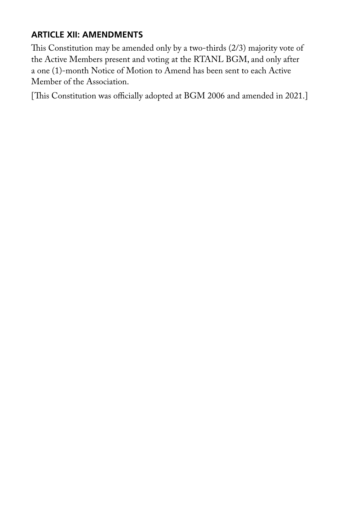#### **ARTICLE XII: AMENDMENTS**

This Constitution may be amended only by a two-thirds (2/3) majority vote of the Active Members present and voting at the RTANL BGM, and only after a one (1)-month Notice of Motion to Amend has been sent to each Active Member of the Association.

[This Constitution was officially adopted at BGM 2006 and amended in 2021.]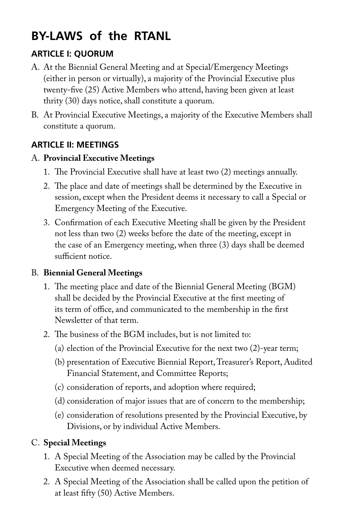# **BY-LAWS of the RTANL**

# **ARTICLE I: QUORUM**

- A. At the Biennial General Meeting and at Special/Emergency Meetings (either in person or virtually), a majority of the Provincial Executive plus twenty-five (25) Active Members who attend, having been given at least thrity (30) days notice, shall constitute a quorum.
- B. At Provincial Executive Meetings, a majority of the Executive Members shall constitute a quorum.

#### **ARTICLE II: MEETINGS**

#### A. **Provincial Executive Meetings**

- 1. The Provincial Executive shall have at least two (2) meetings annually.
- 2. The place and date of meetings shall be determined by the Executive in session, except when the President deems it necessary to call a Special or Emergency Meeting of the Executive.
- 3. Confirmation of each Executive Meeting shall be given by the President not less than two (2) weeks before the date of the meeting, except in the case of an Emergency meeting, when three (3) days shall be deemed sufficient notice.

#### B. **Biennial General Meetings**

- 1. The meeting place and date of the Biennial General Meeting (BGM) shall be decided by the Provincial Executive at the first meeting of its term of office, and communicated to the membership in the first Newsletter of that term.
- 2. The business of the BGM includes, but is not limited to:
	- (a) election of the Provincial Executive for the next two (2)-year term;
	- (b) presentation of Executive Biennial Report, Treasurer's Report, Audited Financial Statement, and Committee Reports;
	- (c) consideration of reports, and adoption where required;
	- (d) consideration of major issues that are of concern to the membership;
	- (e) consideration of resolutions presented by the Provincial Executive, by Divisions, or by individual Active Members.

# C. **Special Meetings**

- 1. A Special Meeting of the Association may be called by the Provincial Executive when deemed necessary.
- 2. A Special Meeting of the Association shall be called upon the petition of at least fifty (50) Active Members.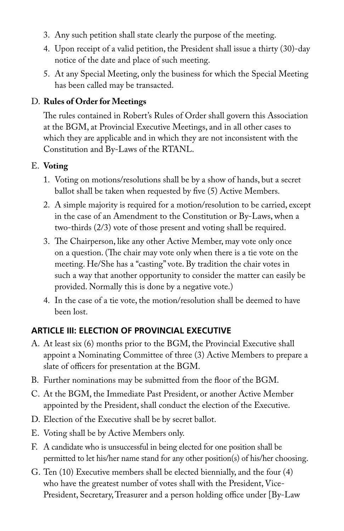- 3. Any such petition shall state clearly the purpose of the meeting.
- 4. Upon receipt of a valid petition, the President shall issue a thirty (30)-day notice of the date and place of such meeting.
- 5. At any Special Meeting, only the business for which the Special Meeting has been called may be transacted.

#### D. **Rules of Order for Meetings**

 The rules contained in Robert's Rules of Order shall govern this Association at the BGM, at Provincial Executive Meetings, and in all other cases to which they are applicable and in which they are not inconsistent with the Constitution and By-Laws of the RTANL.

#### E. **Voting**

- 1. Voting on motions/resolutions shall be by a show of hands, but a secret ballot shall be taken when requested by five (5) Active Members.
- 2. A simple majority is required for a motion/resolution to be carried, except in the case of an Amendment to the Constitution or By-Laws, when a two-thirds (2/3) vote of those present and voting shall be required.
- 3. The Chairperson, like any other Active Member, may vote only once on a question. (The chair may vote only when there is a tie vote on the meeting. He/She has a "casting" vote. By tradition the chair votes in such a way that another opportunity to consider the matter can easily be provided. Normally this is done by a negative vote.)
- 4. In the case of a tie vote, the motion/resolution shall be deemed to have been lost.

# **ARTICLE III: ELECTION OF PROVINCIAL EXECUTIVE**

- A. At least six (6) months prior to the BGM, the Provincial Executive shall appoint a Nominating Committee of three (3) Active Members to prepare a slate of officers for presentation at the BGM.
- B. Further nominations may be submitted from the floor of the BGM.
- C. At the BGM, the Immediate Past President, or another Active Member appointed by the President, shall conduct the election of the Executive.
- D. Election of the Executive shall be by secret ballot.
- E. Voting shall be by Active Members only.
- F. A candidate who is unsuccessful in being elected for one position shall be permitted to let his/her name stand for any other position(s) of his/her choosing.
- G. Ten (10) Executive members shall be elected biennially, and the four (4) who have the greatest number of votes shall with the President, Vice-President, Secretary, Treasurer and a person holding office under [By-Law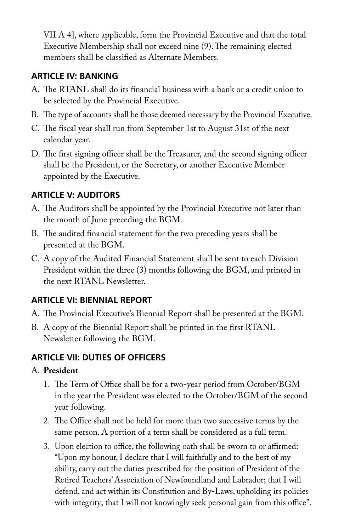VII A 4], where applicable, form the Provincial Executive and that the total Executive Membership shall not exceed nine (9). The remaining elected members shall be classified as Alternate Members.

#### **ARTICLE IV: BANKING**

- A. The RTANL shall do its financial business with a bank or a credit union to be selected by the Provincial Executive.
- B. The type of accounts shall be those deemed necessary by the Provincial Executive.
- C. The fiscal year shall run from September 1st to August 31st of the next calendar year.
- D. The first signing officer shall be the Treasurer, and the second signing officer shall be the President, or the Secretary, or another Executive Member appointed by the Executive.

# **ARTICLE V: AUDITORS**

- A. The Auditors shall be appointed by the Provincial Executive not later than the month of June preceding the BGM.
- B. The audited financial statement for the two preceding years shall be presented at the BGM.
- C. A copy of the Audited Financial Statement shall be sent to each Division President within the three (3) months following the BGM, and printed in the next RTANL Newsletter.

# **ARTICLE VI: BIENNIAL REPORT**

- A. The Provincial Executive's Biennial Report shall be presented at the BGM.
- B. A copy of the Biennial Report shall be printed in the first RTANL Newsletter following the BGM.

# **ARTICLE VII: DUTIES OF OFFICERS**

#### A. **President**

- 1. The Term of Office shall be for a two-year period from October/BGM in the year the President was elected to the October/BGM of the second year following.
- 2. The Office shall not be held for more than two successive terms by the same person. A portion of a term shall be considered as a full term.
- 3. Upon election to office, the following oath shall be sworn to or affirmed: "Upon my honour, I declare that I will faithfully and to the best of my ability, carry out the duties prescribed for the position of President of the Retired Teachers' Association of Newfoundland and Labrador; that I will defend, and act within its Constitution and By-Laws, upholding its policies with integrity; that I will not knowingly seek personal gain from this office".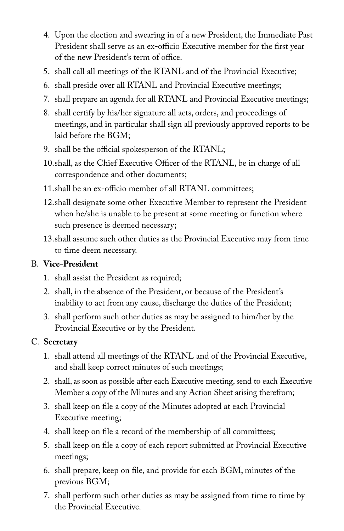- 4. Upon the election and swearing in of a new President, the Immediate Past President shall serve as an ex-officio Executive member for the first year of the new President's term of office.
- 5. shall call all meetings of the RTANL and of the Provincial Executive;
- 6. shall preside over all RTANL and Provincial Executive meetings;
- 7. shall prepare an agenda for all RTANL and Provincial Executive meetings;
- 8. shall certify by his/her signature all acts, orders, and proceedings of meetings, and in particular shall sign all previously approved reports to be laid before the BGM;
- 9. shall be the official spokesperson of the RTANL;
- 10. shall, as the Chief Executive Officer of the RTANL, be in charge of all correspondence and other documents;
- 11.shall be an ex-officio member of all RTANL committees;
- 12. shall designate some other Executive Member to represent the President when he/she is unable to be present at some meeting or function where such presence is deemed necessary;
- 13. shall assume such other duties as the Provincial Executive may from time to time deem necessary.

#### B. **Vice-President**

- 1. shall assist the President as required;
- 2. shall, in the absence of the President, or because of the President's inability to act from any cause, discharge the duties of the President;
- 3. shall perform such other duties as may be assigned to him/her by the Provincial Executive or by the President.

# C. **Secretary**

- 1. shall attend all meetings of the RTANL and of the Provincial Executive, and shall keep correct minutes of such meetings;
- 2. shall, as soon as possible after each Executive meeting, send to each Executive Member a copy of the Minutes and any Action Sheet arising therefrom;
- 3. shall keep on file a copy of the Minutes adopted at each Provincial Executive meeting;
- 4. shall keep on file a record of the membership of all committees;
- 5. shall keep on file a copy of each report submitted at Provincial Executive meetings;
- 6. shall prepare, keep on file, and provide for each BGM, minutes of the previous BGM;
- 7. shall perform such other duties as may be assigned from time to time by the Provincial Executive.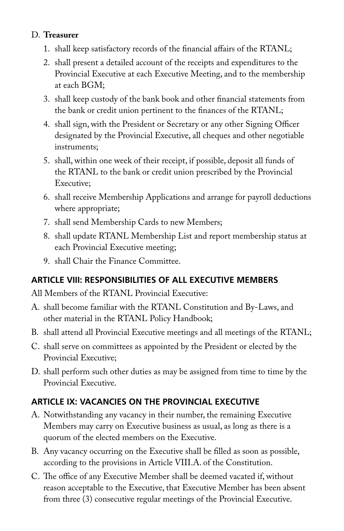#### D. **Treasurer**

- 1. shall keep satisfactory records of the financial affairs of the RTANL;
- 2. shall present a detailed account of the receipts and expenditures to the Provincial Executive at each Executive Meeting, and to the membership at each BGM;
- 3. shall keep custody of the bank book and other financial statements from the bank or credit union pertinent to the finances of the RTANL;
- 4. shall sign, with the President or Secretary or any other Signing Officer designated by the Provincial Executive, all cheques and other negotiable instruments;
- 5. shall, within one week of their receipt, if possible, deposit all funds of the RTANL to the bank or credit union prescribed by the Provincial Executive;
- 6. shall receive Membership Applications and arrange for payroll deductions where appropriate;
- 7. shall send Membership Cards to new Members;
- 8. shall update RTANL Membership List and report membership status at each Provincial Executive meeting;
- 9. shall Chair the Finance Committee.

# **ARTICLE VIII: RESPONSIBILITIES OF ALL EXECUTIVE MEMBERS**

All Members of the RTANL Provincial Executive:

- A. shall become familiar with the RTANL Constitution and By-Laws, and other material in the RTANL Policy Handbook;
- B. shall attend all Provincial Executive meetings and all meetings of the RTANL;
- C. shall serve on committees as appointed by the President or elected by the Provincial Executive;
- D. shall perform such other duties as may be assigned from time to time by the Provincial Executive.

# **ARTICLE IX: VACANCIES ON THE PROVINCIAL EXECUTIVE**

- A. Notwithstanding any vacancy in their number, the remaining Executive Members may carry on Executive business as usual, as long as there is a quorum of the elected members on the Executive.
- B. Any vacancy occurring on the Executive shall be filled as soon as possible, according to the provisions in Article VIII.A. of the Constitution.
- C. The office of any Executive Member shall be deemed vacated if, without reason acceptable to the Executive, that Executive Member has been absent from three (3) consecutive regular meetings of the Provincial Executive.